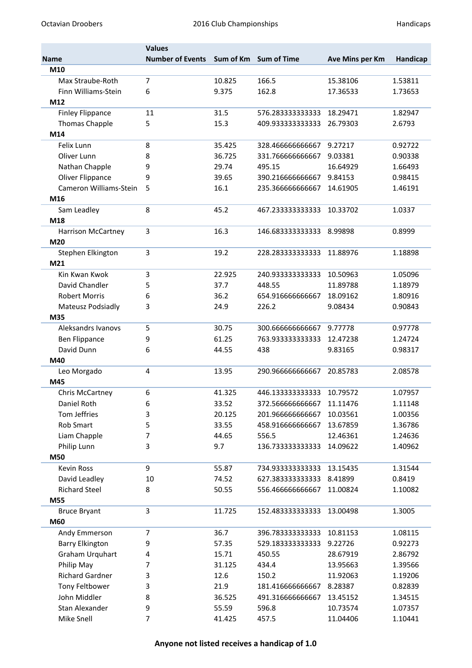|                         | <b>Values</b>           |        |                       |                 |          |
|-------------------------|-------------------------|--------|-----------------------|-----------------|----------|
| <b>Name</b>             | <b>Number of Events</b> |        | Sum of Km Sum of Time | Ave Mins per Km | Handicap |
| M10                     |                         |        |                       |                 |          |
| Max Straube-Roth        | 7                       | 10.825 | 166.5                 | 15.38106        | 1.53811  |
| Finn Williams-Stein     | 6                       | 9.375  | 162.8                 | 17.36533        | 1.73653  |
| M12                     |                         |        |                       |                 |          |
| <b>Finley Flippance</b> | 11                      | 31.5   | 576.283333333333      | 18.29471        | 1.82947  |
| Thomas Chapple          | 5                       | 15.3   | 409.933333333333      | 26.79303        | 2.6793   |
| M14                     |                         |        |                       |                 |          |
| Felix Lunn              | 8                       | 35.425 | 328.466666666667      | 9.27217         | 0.92722  |
| Oliver Lunn             | 8                       | 36.725 | 331.76666666667       | 9.03381         | 0.90338  |
| Nathan Chapple          | 9                       | 29.74  | 495.15                | 16.64929        | 1.66493  |
| Oliver Flippance        | 9                       | 39.65  | 390.216666666667      | 9.84153         | 0.98415  |
| Cameron Williams-Stein  | 5                       | 16.1   | 235.36666666667       | 14.61905        | 1.46191  |
| M16                     |                         |        |                       |                 |          |
| Sam Leadley             | 8                       | 45.2   | 467.233333333333      | 10.33702        | 1.0337   |
| M18                     |                         |        |                       |                 |          |
| Harrison McCartney      | 3                       | 16.3   | 146.683333333333      | 8.99898         | 0.8999   |
| M20                     |                         |        |                       |                 |          |
| Stephen Elkington       | 3                       | 19.2   | 228.283333333333      | 11.88976        | 1.18898  |
| M21                     |                         |        |                       |                 |          |
| Kin Kwan Kwok           | 3                       | 22.925 | 240.933333333333      | 10.50963        | 1.05096  |
| David Chandler          | 5                       | 37.7   | 448.55                | 11.89788        | 1.18979  |
| <b>Robert Morris</b>    | 6                       | 36.2   | 654.916666666667      | 18.09162        | 1.80916  |
| Mateusz Podsiadly       | 3                       | 24.9   | 226.2                 | 9.08434         | 0.90843  |
| M35                     |                         |        |                       |                 |          |
| Aleksandrs Ivanovs      | 5                       | 30.75  | 300.66666666667       | 9.77778         | 0.97778  |
| <b>Ben Flippance</b>    | 9                       | 61.25  | 763.933333333333      | 12.47238        | 1.24724  |
| David Dunn              | 6                       | 44.55  | 438                   | 9.83165         | 0.98317  |
| M40                     |                         |        |                       |                 |          |
| Leo Morgado             | 4                       | 13.95  | 290.96666666667       | 20.85783        | 2.08578  |
| M45                     |                         |        |                       |                 |          |
| Chris McCartney         | 6                       | 41.325 | 446.133333333333      | 10.79572        | 1.07957  |
| Daniel Roth             | 6                       | 33.52  | 372.56666666667       | 11.11476        | 1.11148  |
| Tom Jeffries            | 3                       | 20.125 | 201.96666666667       | 10.03561        | 1.00356  |
| Rob Smart               | 5                       | 33.55  | 458.916666666667      | 13.67859        | 1.36786  |
| Liam Chapple            | 7                       | 44.65  | 556.5                 | 12.46361        | 1.24636  |
| Philip Lunn             | 3                       | 9.7    | 136.733333333333      | 14.09622        | 1.40962  |
| M50                     |                         |        |                       |                 |          |
| <b>Kevin Ross</b>       | 9                       | 55.87  | 734.933333333333      | 13.15435        | 1.31544  |
| David Leadley           | 10                      | 74.52  | 627.383333333333      | 8.41899         | 0.8419   |
| <b>Richard Steel</b>    | 8                       | 50.55  | 556.46666666667       | 11.00824        | 1.10082  |
| M55                     |                         |        |                       |                 |          |
| <b>Bruce Bryant</b>     | 3                       | 11.725 | 152.483333333333      | 13.00498        | 1.3005   |
| M60                     |                         |        |                       |                 |          |
| Andy Emmerson           | 7                       | 36.7   | 396.783333333333      | 10.81153        | 1.08115  |
| <b>Barry Elkington</b>  | 9                       | 57.35  | 529.183333333333      | 9.22726         | 0.92273  |
| Graham Urquhart         | 4                       | 15.71  | 450.55                | 28.67919        | 2.86792  |
| Philip May              | 7                       | 31.125 | 434.4                 | 13.95663        | 1.39566  |
| Richard Gardner         | 3                       | 12.6   | 150.2                 | 11.92063        | 1.19206  |
| Tony Feltbower          | 3                       | 21.9   | 181.416666666667      | 8.28387         | 0.82839  |
| John Middler            | 8                       | 36.525 | 491.316666666667      | 13.45152        | 1.34515  |
| Stan Alexander          | 9                       | 55.59  | 596.8                 | 10.73574        | 1.07357  |
| Mike Snell              | 7                       | 41.425 | 457.5                 | 11.04406        | 1.10441  |